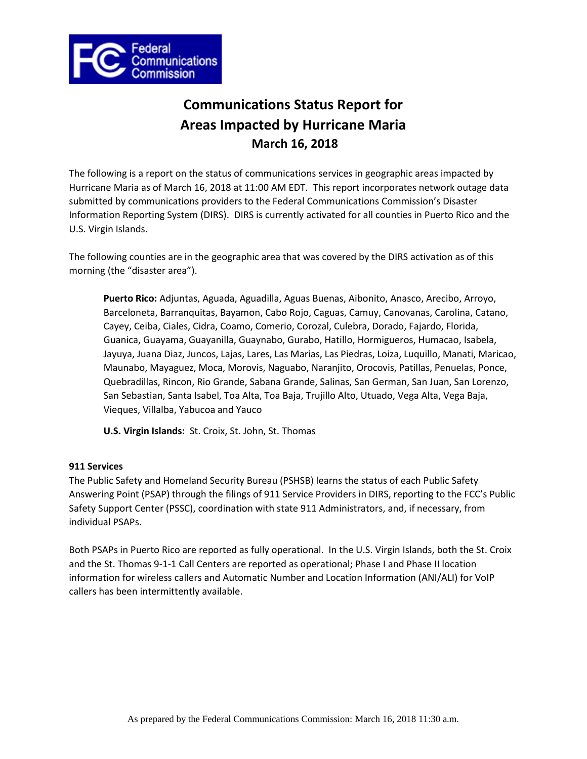

## **Communications Status Report for Areas Impacted by Hurricane Maria March 16, 2018**

The following is a report on the status of communications services in geographic areas impacted by Hurricane Maria as of March 16, 2018 at 11:00 AM EDT. This report incorporates network outage data submitted by communications providers to the Federal Communications Commission's Disaster Information Reporting System (DIRS). DIRS is currently activated for all counties in Puerto Rico and the U.S. Virgin Islands.

The following counties are in the geographic area that was covered by the DIRS activation as of this morning (the "disaster area").

**Puerto Rico:** Adjuntas, Aguada, Aguadilla, Aguas Buenas, Aibonito, Anasco, Arecibo, Arroyo, Barceloneta, Barranquitas, Bayamon, Cabo Rojo, Caguas, Camuy, Canovanas, Carolina, Catano, Cayey, Ceiba, Ciales, Cidra, Coamo, Comerio, Corozal, Culebra, Dorado, Fajardo, Florida, Guanica, Guayama, Guayanilla, Guaynabo, Gurabo, Hatillo, Hormigueros, Humacao, Isabela, Jayuya, Juana Diaz, Juncos, Lajas, Lares, Las Marias, Las Piedras, Loiza, Luquillo, Manati, Maricao, Maunabo, Mayaguez, Moca, Morovis, Naguabo, Naranjito, Orocovis, Patillas, Penuelas, Ponce, Quebradillas, Rincon, Rio Grande, Sabana Grande, Salinas, San German, San Juan, San Lorenzo, San Sebastian, Santa Isabel, Toa Alta, Toa Baja, Trujillo Alto, Utuado, Vega Alta, Vega Baja, Vieques, Villalba, Yabucoa and Yauco

**U.S. Virgin Islands:** St. Croix, St. John, St. Thomas

## **911 Services**

The Public Safety and Homeland Security Bureau (PSHSB) learns the status of each Public Safety Answering Point (PSAP) through the filings of 911 Service Providers in DIRS, reporting to the FCC's Public Safety Support Center (PSSC), coordination with state 911 Administrators, and, if necessary, from individual PSAPs.

Both PSAPs in Puerto Rico are reported as fully operational. In the U.S. Virgin Islands, both the St. Croix and the St. Thomas 9-1-1 Call Centers are reported as operational; Phase I and Phase II location information for wireless callers and Automatic Number and Location Information (ANI/ALI) for VoIP callers has been intermittently available.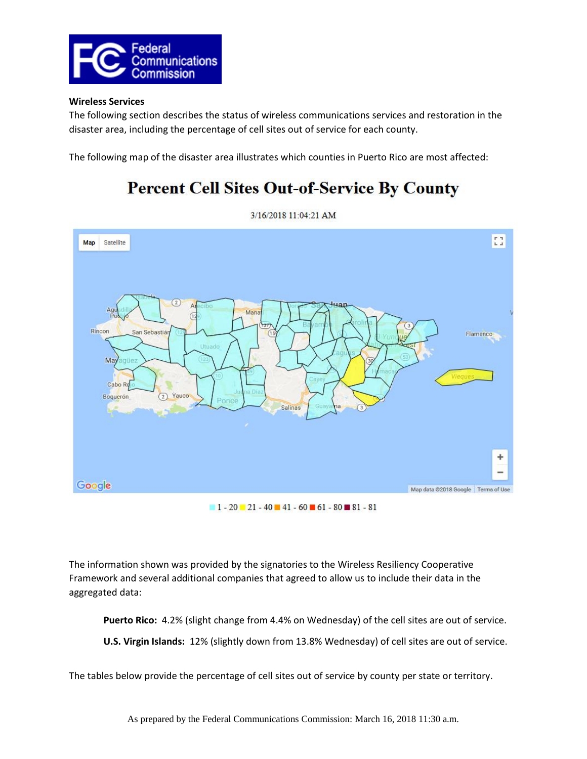

### **Wireless Services**

The following section describes the status of wireless communications services and restoration in the disaster area, including the percentage of cell sites out of service for each county.

The following map of the disaster area illustrates which counties in Puerto Rico are most affected:

# **Percent Cell Sites Out-of-Service By County**



3/16/2018 11:04:21 AM

 $1 - 20 - 21 - 40 - 41 - 60 - 61 - 80 - 81 - 81$ 

The information shown was provided by the signatories to the Wireless Resiliency Cooperative Framework and several additional companies that agreed to allow us to include their data in the aggregated data:

**Puerto Rico:** 4.2% (slight change from 4.4% on Wednesday) of the cell sites are out of service.

**U.S. Virgin Islands:** 12% (slightly down from 13.8% Wednesday) of cell sites are out of service.

The tables below provide the percentage of cell sites out of service by county per state or territory.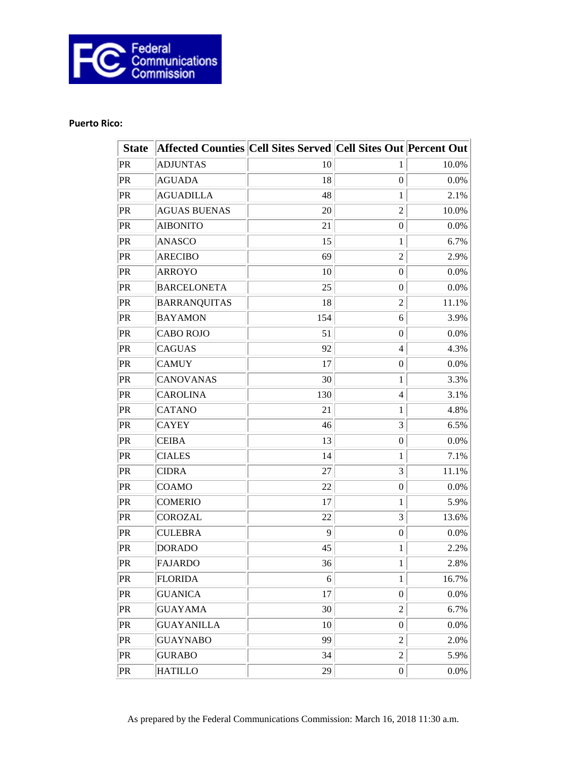

## **Puerto Rico:**

| <b>State</b> | Affected Counties Cell Sites Served Cell Sites Out Percent Out |     |                  |         |
|--------------|----------------------------------------------------------------|-----|------------------|---------|
| PR           | <b>ADJUNTAS</b>                                                | 10  | 1                | 10.0%   |
| PR           | <b>AGUADA</b>                                                  | 18  | $\boldsymbol{0}$ | 0.0%    |
| PR           | <b>AGUADILLA</b>                                               | 48  | 1                | 2.1%    |
| PR           | <b>AGUAS BUENAS</b>                                            | 20  | $\boldsymbol{2}$ | 10.0%   |
| PR           | <b>AIBONITO</b>                                                | 21  | $\boldsymbol{0}$ | 0.0%    |
| PR           | <b>ANASCO</b>                                                  | 15  | 1                | 6.7%    |
| PR           | <b>ARECIBO</b>                                                 | 69  | $\boldsymbol{2}$ | 2.9%    |
| PR           | <b>ARROYO</b>                                                  | 10  | $\boldsymbol{0}$ | 0.0%    |
| PR           | <b>BARCELONETA</b>                                             | 25  | $\boldsymbol{0}$ | 0.0%    |
| PR           | <b>BARRANQUITAS</b>                                            | 18  | $\boldsymbol{2}$ | 11.1%   |
| PR           | <b>BAYAMON</b>                                                 | 154 | 6                | 3.9%    |
| PR           | <b>CABO ROJO</b>                                               | 51  | $\boldsymbol{0}$ | 0.0%    |
| PR           | <b>CAGUAS</b>                                                  | 92  | $\overline{4}$   | 4.3%    |
| PR           | <b>CAMUY</b>                                                   | 17  | $\boldsymbol{0}$ | 0.0%    |
| PR           | <b>CANOVANAS</b>                                               | 30  | 1                | 3.3%    |
| PR           | <b>CAROLINA</b>                                                | 130 | $\overline{4}$   | 3.1%    |
| PR           | <b>CATANO</b>                                                  | 21  | 1                | 4.8%    |
| PR           | <b>CAYEY</b>                                                   | 46  | 3                | 6.5%    |
| PR           | <b>CEIBA</b>                                                   | 13  | $\boldsymbol{0}$ | 0.0%    |
| PR           | <b>CIALES</b>                                                  | 14  | 1                | 7.1%    |
| PR           | <b>CIDRA</b>                                                   | 27  | 3                | 11.1%   |
| PR           | <b>COAMO</b>                                                   | 22  | $\boldsymbol{0}$ | 0.0%    |
| PR           | <b>COMERIO</b>                                                 | 17  | 1                | 5.9%    |
| PR           | <b>COROZAL</b>                                                 | 22  | 3                | 13.6%   |
| PR           | <b>CULEBRA</b>                                                 | 9   | $\boldsymbol{0}$ | 0.0%    |
| PR           | <b>DORADO</b>                                                  | 45  | 1                | 2.2%    |
| PR           | <b>FAJARDO</b>                                                 | 36  | $\mathbf{1}$     | 2.8%    |
| PR           | <b>FLORIDA</b>                                                 | 6   | $\mathbf{1}$     | 16.7%   |
| PR           | <b>GUANICA</b>                                                 | 17  | $\boldsymbol{0}$ | 0.0%    |
| PR           | <b>GUAYAMA</b>                                                 | 30  | $\overline{2}$   | 6.7%    |
| PR           | <b>GUAYANILLA</b>                                              | 10  | $\boldsymbol{0}$ | $0.0\%$ |
| PR           | <b>GUAYNABO</b>                                                | 99  | $\mathfrak 2$    | 2.0%    |
| PR           | <b>GURABO</b>                                                  | 34  | $\sqrt{2}$       | 5.9%    |
| PR           | <b>HATILLO</b>                                                 | 29  | $\boldsymbol{0}$ | $0.0\%$ |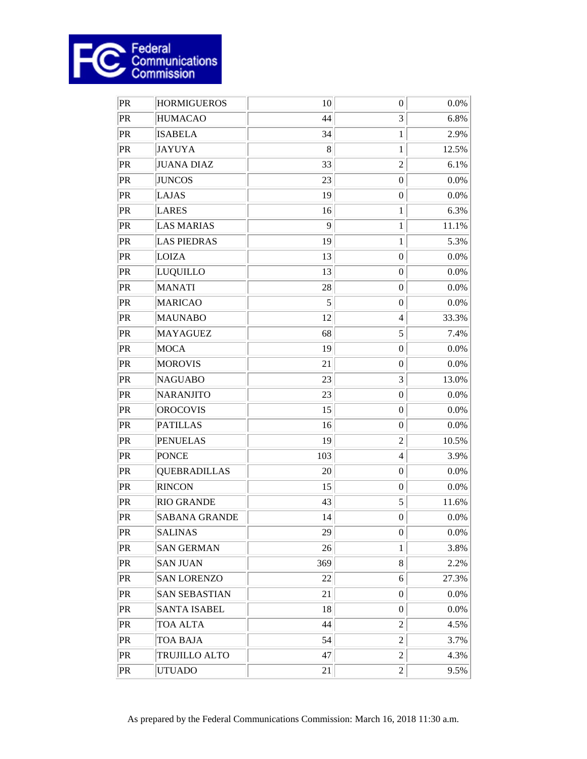

| PR | <b>HORMIGUEROS</b>   | 10  | $\boldsymbol{0}$ | 0.0%    |
|----|----------------------|-----|------------------|---------|
| PR | <b>HUMACAO</b>       | 44  | 3                | 6.8%    |
| PR | <b>ISABELA</b>       | 34  | $\mathbf{1}$     | 2.9%    |
| PR | <b>JAYUYA</b>        | 8   | $\mathbf{1}$     | 12.5%   |
| PR | <b>JUANA DIAZ</b>    | 33  | $\overline{c}$   | 6.1%    |
| PR | <b>JUNCOS</b>        | 23  | $\boldsymbol{0}$ | 0.0%    |
| PR | LAJAS                | 19  | $\boldsymbol{0}$ | 0.0%    |
| PR | LARES                | 16  | $\mathbf{1}$     | 6.3%    |
| PR | <b>LAS MARIAS</b>    | 9   | $\mathbf{1}$     | 11.1%   |
| PR | <b>LAS PIEDRAS</b>   | 19  | $\mathbf{1}$     | 5.3%    |
| PR | <b>LOIZA</b>         | 13  | $\boldsymbol{0}$ | 0.0%    |
| PR | LUQUILLO             | 13  | $\boldsymbol{0}$ | 0.0%    |
| PR | <b>MANATI</b>        | 28  | $\boldsymbol{0}$ | 0.0%    |
| PR | <b>MARICAO</b>       | 5   | $\boldsymbol{0}$ | 0.0%    |
| PR | <b>MAUNABO</b>       | 12  | 4                | 33.3%   |
| PR | <b>MAYAGUEZ</b>      | 68  | 5                | 7.4%    |
| PR | <b>MOCA</b>          | 19  | $\boldsymbol{0}$ | 0.0%    |
| PR | <b>MOROVIS</b>       | 21  | $\boldsymbol{0}$ | 0.0%    |
| PR | <b>NAGUABO</b>       | 23  | 3                | 13.0%   |
| PR | <b>NARANJITO</b>     | 23  | $\boldsymbol{0}$ | 0.0%    |
| PR | <b>OROCOVIS</b>      | 15  | $\boldsymbol{0}$ | 0.0%    |
| PR | <b>PATILLAS</b>      | 16  | $\boldsymbol{0}$ | 0.0%    |
| PR | <b>PENUELAS</b>      | 19  | $\overline{c}$   | 10.5%   |
| PR | <b>PONCE</b>         | 103 | 4                | 3.9%    |
| PR | <b>QUEBRADILLAS</b>  | 20  | $\boldsymbol{0}$ | 0.0%    |
| PR | <b>RINCON</b>        | 15  | $\boldsymbol{0}$ | 0.0%    |
| PR | <b>RIO GRANDE</b>    | 43  | 5                | 11.6%   |
| PR | <b>SABANA GRANDE</b> | 14  | $\boldsymbol{0}$ | 0.0%    |
| PR | <b>SALINAS</b>       | 29  | $\boldsymbol{0}$ | $0.0\%$ |
| PR | <b>SAN GERMAN</b>    | 26  | $\mathbf{1}$     | 3.8%    |
| PR | <b>SAN JUAN</b>      | 369 | 8                | 2.2%    |
| PR | <b>SAN LORENZO</b>   | 22  | 6                | 27.3%   |
| PR | <b>SAN SEBASTIAN</b> | 21  | $\boldsymbol{0}$ | 0.0%    |
| PR | <b>SANTA ISABEL</b>  | 18  | $\overline{0}$   | 0.0%    |
| PR | TOA ALTA             | 44  | $\overline{c}$   | 4.5%    |
| PR | TOA BAJA             | 54  | $\overline{c}$   | 3.7%    |
| PR | TRUJILLO ALTO        | 47  | $\overline{c}$   | 4.3%    |
| PR | <b>UTUADO</b>        | 21  | $\overline{c}$   | 9.5%    |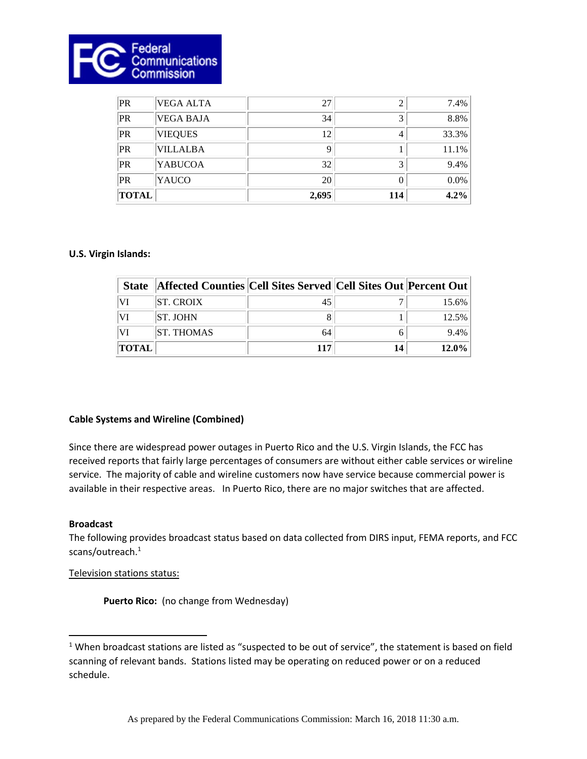

| PR           | <b>VEGA ALTA</b> | 27    | 2   | 7.4%    |
|--------------|------------------|-------|-----|---------|
| PR           | <b>VEGA BAJA</b> | 34    | 3   | 8.8%    |
| PR           | <b>VIEQUES</b>   | 12    | 4   | 33.3%   |
| PR           | <b>VILLALBA</b>  | Q     |     | 11.1%   |
| PR           | <b>YABUCOA</b>   | 32    | 3   | 9.4%    |
| PR           | YAUCO            | 20    |     | $0.0\%$ |
| <b>TOTAL</b> |                  | 2,695 | 114 | 4.2%    |

#### **U.S. Virgin Islands:**

| <b>State</b> | <b>Affected Counties Cell Sites Served Cell Sites Out Percent Out</b> |     |    |          |
|--------------|-----------------------------------------------------------------------|-----|----|----------|
| VI           | <b>ST. CROIX</b>                                                      |     |    | 15.6%    |
| VI           | IST. JOHN                                                             |     |    | 12.5%    |
| VI           | <b>ST. THOMAS</b>                                                     | 64  |    | $9.4\%$  |
| TOTAL        |                                                                       | 117 | 14 | $12.0\%$ |

#### **Cable Systems and Wireline (Combined)**

Since there are widespread power outages in Puerto Rico and the U.S. Virgin Islands, the FCC has received reports that fairly large percentages of consumers are without either cable services or wireline service. The majority of cable and wireline customers now have service because commercial power is available in their respective areas. In Puerto Rico, there are no major switches that are affected.

#### **Broadcast**

 $\overline{a}$ 

The following provides broadcast status based on data collected from DIRS input, FEMA reports, and FCC scans/outreach.<sup>1</sup>

#### Television stations status:

**Puerto Rico:** (no change from Wednesday)

 $1$  When broadcast stations are listed as "suspected to be out of service", the statement is based on field scanning of relevant bands. Stations listed may be operating on reduced power or on a reduced schedule.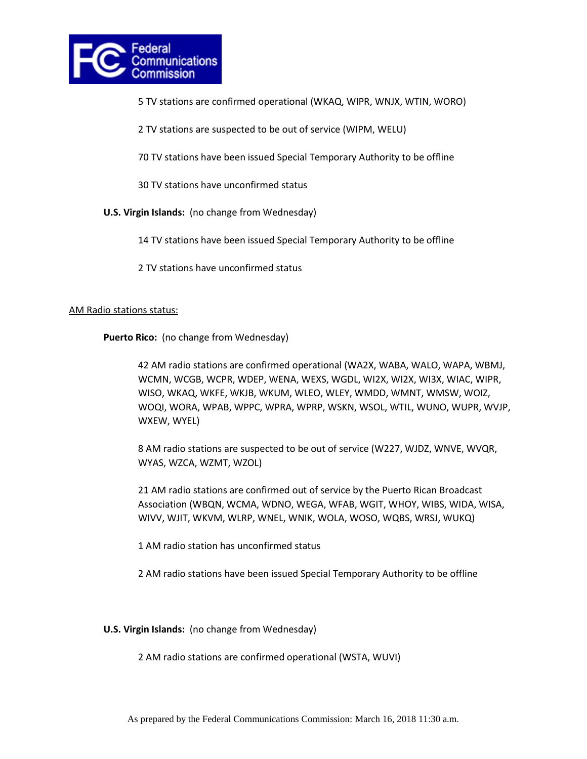

5 TV stations are confirmed operational (WKAQ, WIPR, WNJX, WTIN, WORO)

2 TV stations are suspected to be out of service (WIPM, WELU)

70 TV stations have been issued Special Temporary Authority to be offline

30 TV stations have unconfirmed status

**U.S. Virgin Islands:** (no change from Wednesday)

14 TV stations have been issued Special Temporary Authority to be offline

2 TV stations have unconfirmed status

#### AM Radio stations status:

**Puerto Rico:** (no change from Wednesday)

42 AM radio stations are confirmed operational (WA2X, WABA, WALO, WAPA, WBMJ, WCMN, WCGB, WCPR, WDEP, WENA, WEXS, WGDL, WI2X, WI2X, WI3X, WIAC, WIPR, WISO, WKAQ, WKFE, WKJB, WKUM, WLEO, WLEY, WMDD, WMNT, WMSW, WOIZ, WOQI, WORA, WPAB, WPPC, WPRA, WPRP, WSKN, WSOL, WTIL, WUNO, WUPR, WVJP, WXEW, WYEL)

8 AM radio stations are suspected to be out of service (W227, WJDZ, WNVE, WVQR, WYAS, WZCA, WZMT, WZOL)

21 AM radio stations are confirmed out of service by the Puerto Rican Broadcast Association (WBQN, WCMA, WDNO, WEGA, WFAB, WGIT, WHOY, WIBS, WIDA, WISA, WIVV, WJIT, WKVM, WLRP, WNEL, WNIK, WOLA, WOSO, WQBS, WRSJ, WUKQ)

1 AM radio station has unconfirmed status

2 AM radio stations have been issued Special Temporary Authority to be offline

**U.S. Virgin Islands:** (no change from Wednesday)

2 AM radio stations are confirmed operational (WSTA, WUVI)